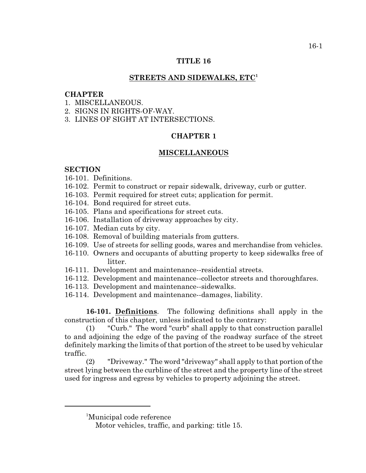### **TITLE 16**

## **STREETS AND SIDEWALKS, ETC<sup>1</sup>**

### **CHAPTER**

- 1. MISCELLANEOUS.
- 2. SIGNS IN RIGHTS-OF-WAY.
- 3. LINES OF SIGHT AT INTERSECTIONS.

# **CHAPTER 1**

#### **MISCELLANEOUS**

## **SECTION**

- 16-101. Definitions.
- 16-102. Permit to construct or repair sidewalk, driveway, curb or gutter.
- 16-103. Permit required for street cuts; application for permit.
- 16-104. Bond required for street cuts.
- 16-105. Plans and specifications for street cuts.
- 16-106. Installation of driveway approaches by city.
- 16-107. Median cuts by city.
- 16-108. Removal of building materials from gutters.
- 16-109. Use of streets for selling goods, wares and merchandise from vehicles.
- 16-110. Owners and occupants of abutting property to keep sidewalks free of litter.
- 16-111. Development and maintenance--residential streets.
- 16-112. Development and maintenance--collector streets and thoroughfares.
- 16-113. Development and maintenance--sidewalks.
- 16-114. Development and maintenance--damages, liability.

**16-101. Definitions**. The following definitions shall apply in the construction of this chapter, unless indicated to the contrary:

(1) "Curb." The word "curb" shall apply to that construction parallel to and adjoining the edge of the paving of the roadway surface of the street definitely marking the limits of that portion of the street to be used by vehicular traffic.

(2) "Driveway." The word "driveway" shall apply to that portion of the street lying between the curbline of the street and the property line of the street used for ingress and egress by vehicles to property adjoining the street.

<sup>&</sup>lt;sup>1</sup>Municipal code reference

Motor vehicles, traffic, and parking: title 15.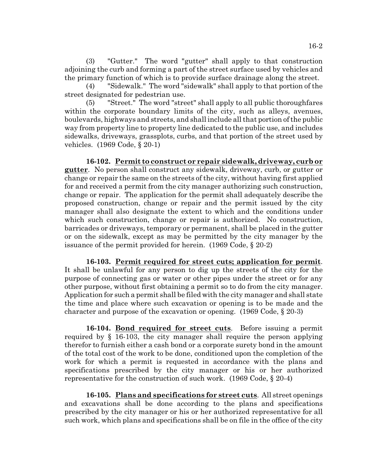(3) "Gutter." The word "gutter" shall apply to that construction adjoining the curb and forming a part of the street surface used by vehicles and the primary function of which is to provide surface drainage along the street.

(4) "Sidewalk." The word "sidewalk" shall apply to that portion of the street designated for pedestrian use.

(5) "Street." The word "street" shall apply to all public thoroughfares within the corporate boundary limits of the city, such as alleys, avenues, boulevards, highways and streets, and shall include all that portion of the public way from property line to property line dedicated to the public use, and includes sidewalks, driveways, grassplots, curbs, and that portion of the street used by vehicles. (1969 Code, § 20-1)

**16-102. Permit to construct or repair sidewalk, driveway, curb or gutter**. No person shall construct any sidewalk, driveway, curb, or gutter or change or repair the same on the streets of the city, without having first applied for and received a permit from the city manager authorizing such construction, change or repair. The application for the permit shall adequately describe the proposed construction, change or repair and the permit issued by the city manager shall also designate the extent to which and the conditions under which such construction, change or repair is authorized. No construction, barricades or driveways, temporary or permanent, shall be placed in the gutter or on the sidewalk, except as may be permitted by the city manager by the issuance of the permit provided for herein. (1969 Code, § 20-2)

**16-103. Permit required for street cuts; application for permit**. It shall be unlawful for any person to dig up the streets of the city for the purpose of connecting gas or water or other pipes under the street or for any other purpose, without first obtaining a permit so to do from the city manager. Application for such a permit shall be filed with the city manager and shall state the time and place where such excavation or opening is to be made and the character and purpose of the excavation or opening. (1969 Code, § 20-3)

**16-104. Bond required for street cuts**. Before issuing a permit required by § 16-103, the city manager shall require the person applying therefor to furnish either a cash bond or a corporate surety bond in the amount of the total cost of the work to be done, conditioned upon the completion of the work for which a permit is requested in accordance with the plans and specifications prescribed by the city manager or his or her authorized representative for the construction of such work. (1969 Code, § 20-4)

**16-105. Plans and specifications for street cuts**. All street openings and excavations shall be done according to the plans and specifications prescribed by the city manager or his or her authorized representative for all such work, which plans and specifications shall be on file in the office of the city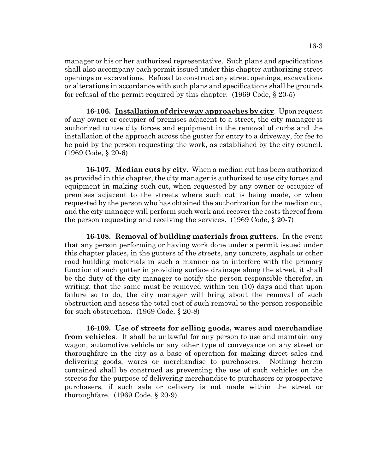manager or his or her authorized representative. Such plans and specifications shall also accompany each permit issued under this chapter authorizing street openings or excavations. Refusal to construct any street openings, excavations or alterations in accordance with such plans and specifications shall be grounds for refusal of the permit required by this chapter. (1969 Code, § 20-5)

**16-106. Installation of driveway approaches by city**. Upon request of any owner or occupier of premises adjacent to a street, the city manager is authorized to use city forces and equipment in the removal of curbs and the installation of the approach across the gutter for entry to a driveway, for fee to be paid by the person requesting the work, as established by the city council. (1969 Code, § 20-6)

**16-107. Median cuts by city**. When a median cut has been authorized as provided in this chapter, the city manager is authorized to use city forces and equipment in making such cut, when requested by any owner or occupier of premises adjacent to the streets where such cut is being made, or when requested by the person who has obtained the authorization for the median cut, and the city manager will perform such work and recover the costs thereof from the person requesting and receiving the services. (1969 Code, § 20-7)

**16-108. Removal of building materials from gutters**. In the event that any person performing or having work done under a permit issued under this chapter places, in the gutters of the streets, any concrete, asphalt or other road building materials in such a manner as to interfere with the primary function of such gutter in providing surface drainage along the street, it shall be the duty of the city manager to notify the person responsible therefor, in writing, that the same must be removed within ten (10) days and that upon failure so to do, the city manager will bring about the removal of such obstruction and assess the total cost of such removal to the person responsible for such obstruction. (1969 Code, § 20-8)

**16-109. Use of streets for selling goods, wares and merchandise from vehicles**. It shall be unlawful for any person to use and maintain any wagon, automotive vehicle or any other type of conveyance on any street or thoroughfare in the city as a base of operation for making direct sales and delivering goods, wares or merchandise to purchasers. Nothing herein contained shall be construed as preventing the use of such vehicles on the streets for the purpose of delivering merchandise to purchasers or prospective purchasers, if such sale or delivery is not made within the street or thoroughfare.  $(1969 \text{ Code}, \, \text{\&} 20-9)$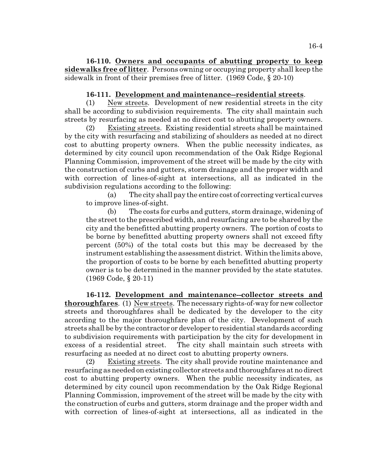**16-110. Owners and occupants of abutting property to keep sidewalks free of litter**. Persons owning or occupying property shall keep the sidewalk in front of their premises free of litter. (1969 Code, § 20-10)

# **16-111. Development and maintenance--residential streets**.

(1) New streets. Development of new residential streets in the city shall be according to subdivision requirements. The city shall maintain such streets by resurfacing as needed at no direct cost to abutting property owners.

(2) Existing streets. Existing residential streets shall be maintained by the city with resurfacing and stabilizing of shoulders as needed at no direct cost to abutting property owners. When the public necessity indicates, as determined by city council upon recommendation of the Oak Ridge Regional Planning Commission, improvement of the street will be made by the city with the construction of curbs and gutters, storm drainage and the proper width and with correction of lines-of-sight at intersections, all as indicated in the subdivision regulations according to the following:

(a) The city shall pay the entire cost of correcting vertical curves to improve lines-of-sight.

(b) The costs for curbs and gutters, storm drainage, widening of the street to the prescribed width, and resurfacing are to be shared by the city and the benefitted abutting property owners. The portion of costs to be borne by benefitted abutting property owners shall not exceed fifty percent (50%) of the total costs but this may be decreased by the instrument establishing the assessment district. Within the limits above, the proportion of costs to be borne by each benefitted abutting property owner is to be determined in the manner provided by the state statutes. (1969 Code, § 20-11)

**16-112. Development and maintenance--collector streets and thoroughfares**. (1) New streets. The necessary rights-of-way for new collector streets and thoroughfares shall be dedicated by the developer to the city according to the major thoroughfare plan of the city. Development of such streets shall be by the contractor or developer to residential standards according to subdivision requirements with participation by the city for development in excess of a residential street. The city shall maintain such streets with resurfacing as needed at no direct cost to abutting property owners.

(2) Existing streets. The city shall provide routine maintenance and resurfacing as needed on existing collector streets and thoroughfares at no direct cost to abutting property owners. When the public necessity indicates, as determined by city council upon recommendation by the Oak Ridge Regional Planning Commission, improvement of the street will be made by the city with the construction of curbs and gutters, storm drainage and the proper width and with correction of lines-of-sight at intersections, all as indicated in the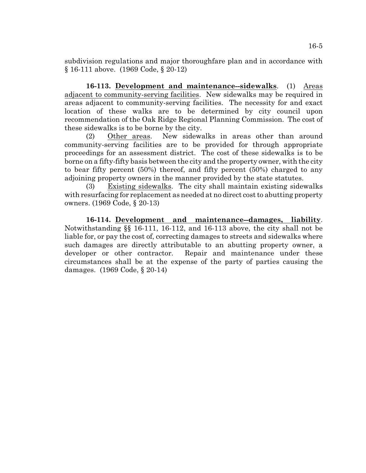subdivision regulations and major thoroughfare plan and in accordance with § 16-111 above. (1969 Code, § 20-12)

**16-113. Development and maintenance--sidewalks**. (1) Areas adjacent to community-serving facilities. New sidewalks may be required in areas adjacent to community-serving facilities. The necessity for and exact location of these walks are to be determined by city council upon recommendation of the Oak Ridge Regional Planning Commission. The cost of these sidewalks is to be borne by the city.

(2) Other areas. New sidewalks in areas other than around community-serving facilities are to be provided for through appropriate proceedings for an assessment district. The cost of these sidewalks is to be borne on a fifty-fifty basis between the city and the property owner, with the city to bear fifty percent (50%) thereof, and fifty percent (50%) charged to any adjoining property owners in the manner provided by the state statutes.

(3) Existing sidewalks. The city shall maintain existing sidewalks with resurfacing for replacement as needed at no direct cost to abutting property owners. (1969 Code, § 20-13)

**16-114. Development and maintenance--damages, liability**. Notwithstanding §§ 16-111, 16-112, and 16-113 above, the city shall not be liable for, or pay the cost of, correcting damages to streets and sidewalks where such damages are directly attributable to an abutting property owner, a developer or other contractor. Repair and maintenance under these circumstances shall be at the expense of the party of parties causing the damages. (1969 Code, § 20-14)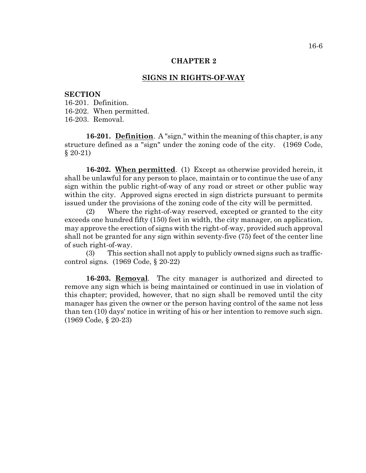#### **CHAPTER 2**

## **SIGNS IN RIGHTS-OF-WAY**

#### **SECTION**

16-201. Definition. 16-202. When permitted. 16-203. Removal.

**16-201. Definition**. A "sign," within the meaning of this chapter, is any structure defined as a "sign" under the zoning code of the city. (1969 Code,  $§ 20-21)$ 

**16-202. When permitted**. (1) Except as otherwise provided herein, it shall be unlawful for any person to place, maintain or to continue the use of any sign within the public right-of-way of any road or street or other public way within the city. Approved signs erected in sign districts pursuant to permits issued under the provisions of the zoning code of the city will be permitted.

(2) Where the right-of-way reserved, excepted or granted to the city exceeds one hundred fifty (150) feet in width, the city manager, on application, may approve the erection of signs with the right-of-way, provided such approval shall not be granted for any sign within seventy-five (75) feet of the center line of such right-of-way.

(3) This section shall not apply to publicly owned signs such as trafficcontrol signs. (1969 Code, § 20-22)

**16-203. Removal**. The city manager is authorized and directed to remove any sign which is being maintained or continued in use in violation of this chapter; provided, however, that no sign shall be removed until the city manager has given the owner or the person having control of the same not less than ten (10) days' notice in writing of his or her intention to remove such sign. (1969 Code, § 20-23)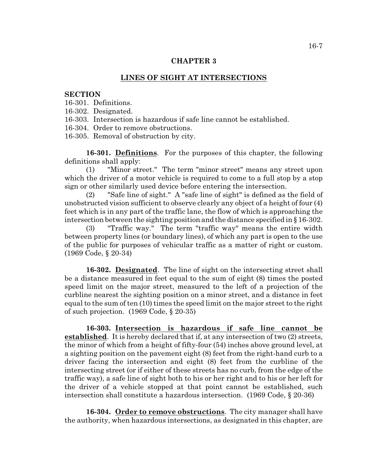#### **CHAPTER 3**

#### **LINES OF SIGHT AT INTERSECTIONS**

#### **SECTION**

16-301. Definitions.

16-302. Designated.

16-303. Intersection is hazardous if safe line cannot be established.

16-304. Order to remove obstructions.

16-305. Removal of obstruction by city.

**16-301. Definitions**. For the purposes of this chapter, the following definitions shall apply:

(1) "Minor street." The term "minor street" means any street upon which the driver of a motor vehicle is required to come to a full stop by a stop sign or other similarly used device before entering the intersection.

(2) "Safe line of sight." A "safe line of sight" is defined as the field of unobstructed vision sufficient to observe clearly any object of a height of four (4) feet which is in any part of the traffic lane, the flow of which is approaching the intersection between the sighting position and the distance specified in § 16-302.

(3) "Traffic way." The term "traffic way" means the entire width between property lines (or boundary lines), of which any part is open to the use of the public for purposes of vehicular traffic as a matter of right or custom. (1969 Code, § 20-34)

**16-302. Designated**. The line of sight on the intersecting street shall be a distance measured in feet equal to the sum of eight (8) times the posted speed limit on the major street, measured to the left of a projection of the curbline nearest the sighting position on a minor street, and a distance in feet equal to the sum of ten (10) times the speed limit on the major street to the right of such projection. (1969 Code, § 20-35)

**16-303. Intersection is hazardous if safe line cannot be established**. It is hereby declared that if, at any intersection of two (2) streets, the minor of which from a height of fifty-four (54) inches above ground level, at a sighting position on the pavement eight (8) feet from the right-hand curb to a driver facing the intersection and eight (8) feet from the curbline of the intersecting street (or if either of these streets has no curb, from the edge of the traffic way), a safe line of sight both to his or her right and to his or her left for the driver of a vehicle stopped at that point cannot be established, such intersection shall constitute a hazardous intersection. (1969 Code, § 20-36)

**16-304. Order to remove obstructions**. The city manager shall have the authority, when hazardous intersections, as designated in this chapter, are